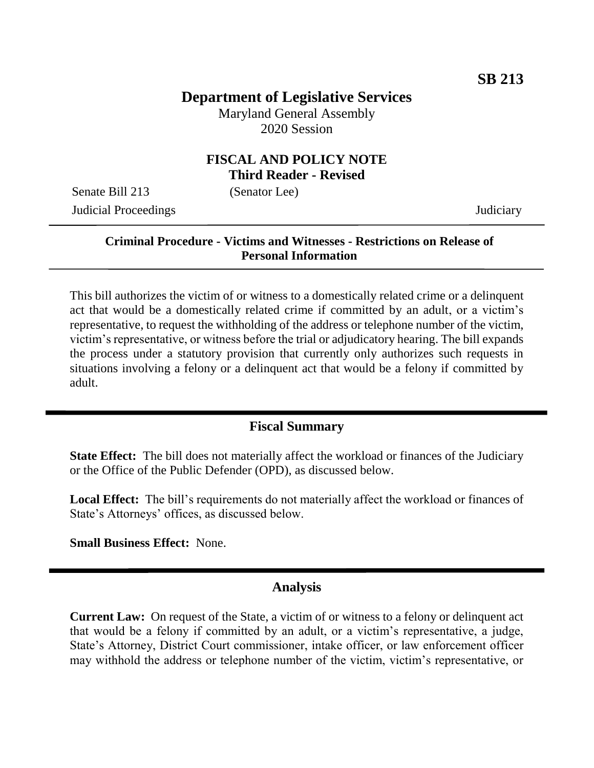# **Department of Legislative Services**

Maryland General Assembly 2020 Session

### **FISCAL AND POLICY NOTE Third Reader - Revised**

Senate Bill 213 (Senator Lee) Judicial Proceedings Judiciary

#### **Criminal Procedure - Victims and Witnesses - Restrictions on Release of Personal Information**

This bill authorizes the victim of or witness to a domestically related crime or a delinquent act that would be a domestically related crime if committed by an adult, or a victim's representative, to request the withholding of the address or telephone number of the victim, victim's representative, or witness before the trial or adjudicatory hearing. The bill expands the process under a statutory provision that currently only authorizes such requests in situations involving a felony or a delinquent act that would be a felony if committed by adult.

### **Fiscal Summary**

**State Effect:** The bill does not materially affect the workload or finances of the Judiciary or the Office of the Public Defender (OPD), as discussed below.

**Local Effect:** The bill's requirements do not materially affect the workload or finances of State's Attorneys' offices, as discussed below.

**Small Business Effect:** None.

#### **Analysis**

**Current Law:** On request of the State, a victim of or witness to a felony or delinquent act that would be a felony if committed by an adult, or a victim's representative, a judge, State's Attorney, District Court commissioner, intake officer, or law enforcement officer may withhold the address or telephone number of the victim, victim's representative, or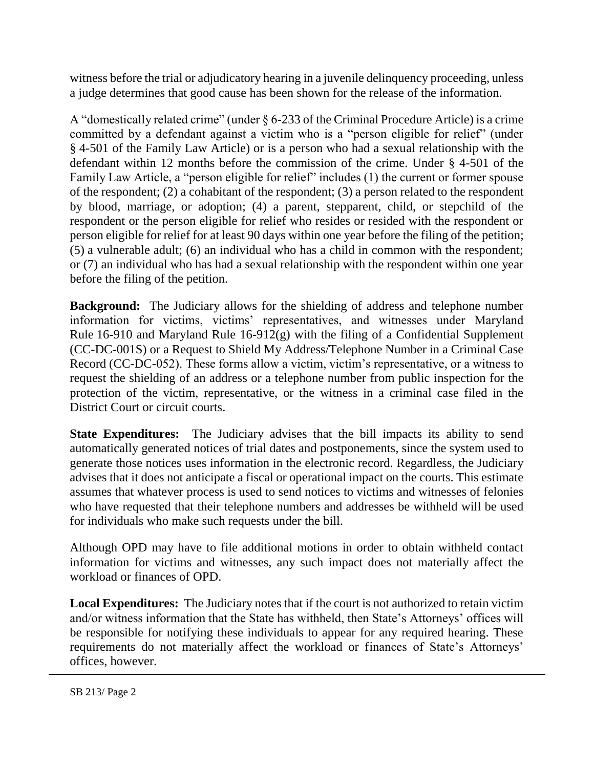witness before the trial or adjudicatory hearing in a juvenile delinquency proceeding, unless a judge determines that good cause has been shown for the release of the information.

A "domestically related crime" (under § 6-233 of the Criminal Procedure Article) is a crime committed by a defendant against a victim who is a "person eligible for relief" (under § 4-501 of the Family Law Article) or is a person who had a sexual relationship with the defendant within 12 months before the commission of the crime. Under § 4-501 of the Family Law Article, a "person eligible for relief" includes (1) the current or former spouse of the respondent; (2) a cohabitant of the respondent; (3) a person related to the respondent by blood, marriage, or adoption; (4) a parent, stepparent, child, or stepchild of the respondent or the person eligible for relief who resides or resided with the respondent or person eligible for relief for at least 90 days within one year before the filing of the petition; (5) a vulnerable adult; (6) an individual who has a child in common with the respondent; or (7) an individual who has had a sexual relationship with the respondent within one year before the filing of the petition.

**Background:** The Judiciary allows for the shielding of address and telephone number information for victims, victims' representatives, and witnesses under Maryland Rule 16-910 and Maryland Rule 16-912(g) with the filing of a Confidential Supplement (CC-DC-001S) or a Request to Shield My Address/Telephone Number in a Criminal Case Record (CC-DC-052). These forms allow a victim, victim's representative, or a witness to request the shielding of an address or a telephone number from public inspection for the protection of the victim, representative, or the witness in a criminal case filed in the District Court or circuit courts.

**State Expenditures:** The Judiciary advises that the bill impacts its ability to send automatically generated notices of trial dates and postponements, since the system used to generate those notices uses information in the electronic record. Regardless, the Judiciary advises that it does not anticipate a fiscal or operational impact on the courts. This estimate assumes that whatever process is used to send notices to victims and witnesses of felonies who have requested that their telephone numbers and addresses be withheld will be used for individuals who make such requests under the bill.

Although OPD may have to file additional motions in order to obtain withheld contact information for victims and witnesses, any such impact does not materially affect the workload or finances of OPD.

**Local Expenditures:** The Judiciary notes that if the court is not authorized to retain victim and/or witness information that the State has withheld, then State's Attorneys' offices will be responsible for notifying these individuals to appear for any required hearing. These requirements do not materially affect the workload or finances of State's Attorneys' offices, however.